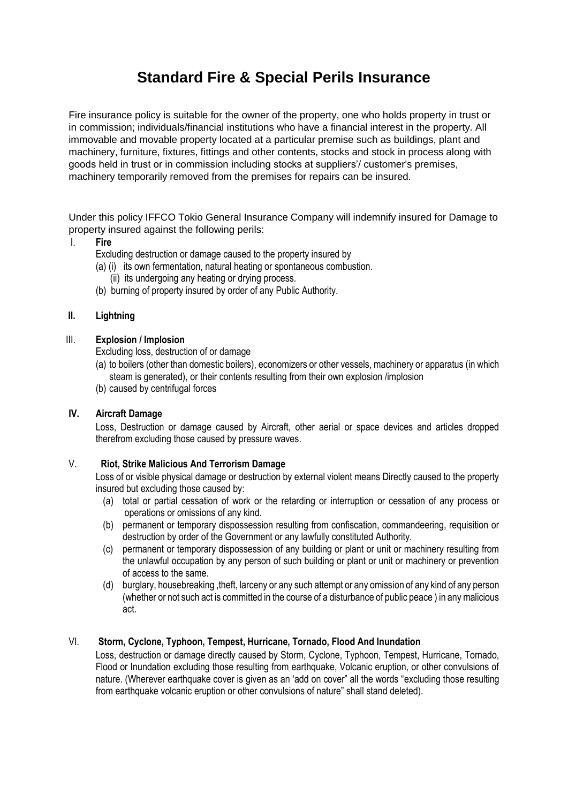# **Standard Fire & Special Perils Insurance**

Fire insurance policy is suitable for the owner of the property, one who holds property in trust or in commission; individuals/financial institutions who have a financial interest in the property. All immovable and movable property located at a particular premise such as buildings, plant and machinery, furniture, fixtures, fittings and other contents, stocks and stock in process along with goods held in trust or in commission including stocks at suppliers'/ customer's premises, machinery temporarily removed from the premises for repairs can be insured.

Under this policy IFFCO Tokio General Insurance Company will indemnify insured for Damage to property insured against the following perils:

#### I. **Fire**

Excluding destruction or damage caused to the property insured by

- (a) (i) its own fermentation, natural heating or spontaneous combustion.
	- (ii) its undergoing any heating or drying process.
- (b) burning of property insured by order of any Public Authority.

### **II. Lightning**

#### III. **Explosion / Implosion**

Excluding loss, destruction of or damage

- (a) to boilers (other than domestic boilers), economizers or other vessels, machinery or apparatus (in which steam is generated), or their contents resulting from their own explosion /implosion
- (b) caused by centrifugal forces

## **IV. Aircraft Damage**

Loss, Destruction or damage caused by Aircraft, other aerial or space devices and articles dropped therefrom excluding those caused by pressure waves.

## V. **Riot, Strike Malicious And Terrorism Damage**

Loss of or visible physical damage or destruction by external violent means Directly caused to the property insured but excluding those caused by:

- (a) total or partial cessation of work or the retarding or interruption or cessation of any process or operations or omissions of any kind.
- (b) permanent or temporary dispossession resulting from confiscation, commandeering, requisition or destruction by order of the Government or any lawfully constituted Authority.
- (c) permanent or temporary dispossession of any building or plant or unit or machinery resulting from the unlawful occupation by any person of such building or plant or unit or machinery or prevention of access to the same.
- (d) burglary, housebreaking ,theft, larceny or any such attempt or any omission of any kind of any person (whether or not such act is committed in the course of a disturbance of public peace ) in any malicious act.

## VI. **Storm, Cyclone, Typhoon, Tempest, Hurricane, Tornado, Flood And Inundation**

Loss, destruction or damage directly caused by Storm, Cyclone, Typhoon, Tempest, Hurricane, Tornado, Flood or Inundation excluding those resulting from earthquake, Volcanic eruption, or other convulsions of nature. (Wherever earthquake cover is given as an 'add on cover" all the words "excluding those resulting from earthquake volcanic eruption or other convulsions of nature" shall stand deleted).